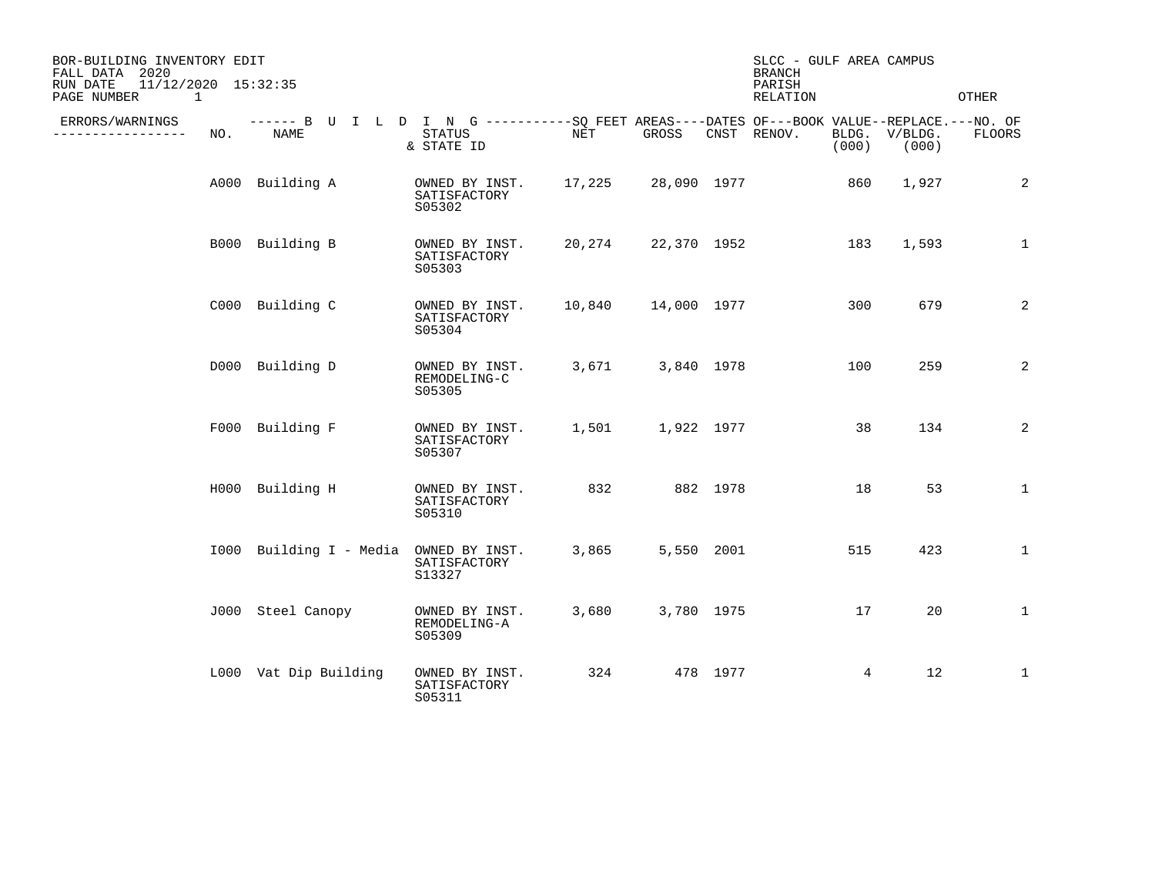| BOR-BUILDING INVENTORY EDIT<br>FALL DATA 2020<br>11/12/2020 15:32:35<br>RUN DATE<br>PAGE NUMBER<br>1 |     |                                                                                                     |                                          |        |             |            | SLCC - GULF AREA CAMPUS<br><b>BRANCH</b><br>PARISH<br><b>RELATION</b> |                |                  | <b>OTHER</b>   |
|------------------------------------------------------------------------------------------------------|-----|-----------------------------------------------------------------------------------------------------|------------------------------------------|--------|-------------|------------|-----------------------------------------------------------------------|----------------|------------------|----------------|
| ERRORS/WARNINGS<br>______________                                                                    | NO. | ------ B U I L D I N G -----------SO FEET AREAS----DATES OF---BOOK VALUE--REPLACE.---NO. OF<br>NAME | STATUS<br>& STATE ID                     | NET    | GROSS       |            | CNST RENOV.                                                           | BLDG.<br>(000) | V/BLDG.<br>(000) | <b>FLOORS</b>  |
|                                                                                                      |     | A000 Building A                                                                                     | OWNED BY INST.<br>SATISFACTORY<br>S05302 | 17,225 | 28,090 1977 |            |                                                                       | 860            | 1,927            | 2              |
|                                                                                                      |     | B000 Building B                                                                                     | OWNED BY INST.<br>SATISFACTORY<br>S05303 | 20,274 | 22,370 1952 |            |                                                                       | 183            | 1,593            | $\mathbf{1}$   |
|                                                                                                      |     | C000 Building C                                                                                     | OWNED BY INST.<br>SATISFACTORY<br>S05304 | 10,840 | 14,000 1977 |            |                                                                       | 300            | 679              | $\overline{2}$ |
|                                                                                                      |     | D000 Building D                                                                                     | OWNED BY INST.<br>REMODELING-C<br>S05305 | 3,671  | 3,840 1978  |            |                                                                       | 100            | 259              | $\overline{2}$ |
|                                                                                                      |     | F000 Building F                                                                                     | OWNED BY INST.<br>SATISFACTORY<br>S05307 | 1,501  | 1,922 1977  |            |                                                                       | 38             | 134              | $\overline{2}$ |
|                                                                                                      |     | H000 Building H                                                                                     | OWNED BY INST.<br>SATISFACTORY<br>S05310 | 832    |             | 882 1978   |                                                                       | 18             | 53               | $\mathbf{1}$   |
|                                                                                                      |     | 1000 Building I - Media OWNED BY INST.                                                              | SATISFACTORY<br>S13327                   | 3,865  |             | 5,550 2001 |                                                                       | 515            | 423              | $\mathbf{1}$   |
|                                                                                                      |     | J000 Steel Canopy                                                                                   | OWNED BY INST.<br>REMODELING-A<br>S05309 | 3,680  | 3,780 1975  |            |                                                                       | 17             | 20               | $\mathbf{1}$   |
|                                                                                                      |     | L000 Vat Dip Building                                                                               | OWNED BY INST.<br>SATISFACTORY<br>S05311 | 324    |             | 478 1977   |                                                                       | 4              | 12               | $\mathbf{1}$   |